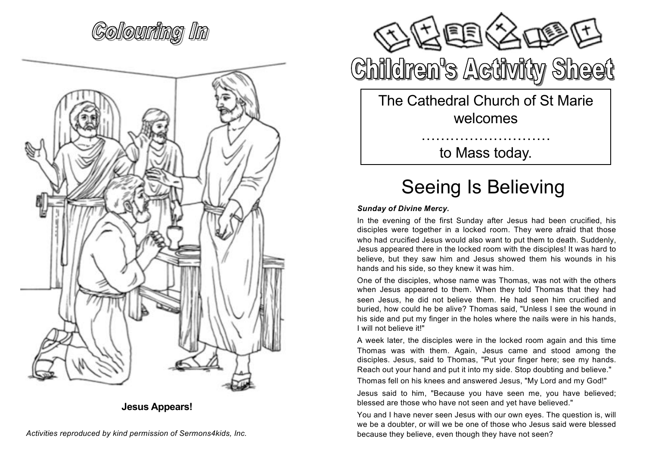### (Gollonmätnet IIIm



**Jesus Appears!**



# **Children's Activity Sheet**

The Cathedral Church of St Marie welcomes

to Mass today.

………………………

#### Seeing Is Believing

#### *Sunday of Divine Mercy.*

In the evening of the first Sunday after Jesus had been crucified, his disciples were together in a locked room. They were afraid that those who had crucified Jesus would also want to put them to death. Suddenly, Jesus appeared there in the locked room with the disciples! It was hard to believe, but they saw him and Jesus showed them his wounds in his hands and his side, so they knew it was him.

One of the disciples, whose name was Thomas, was not with the others when Jesus appeared to them. When they told Thomas that they had seen Jesus, he did not believe them. He had seen him crucified and buried, how could he be alive? Thomas said, "Unless I see the wound in his side and put my finger in the holes where the nails were in his hands, I will not believe it!"

A week later, the disciples were in the locked room again and this time Thomas was with them. Again, Jesus came and stood among the disciples. Jesus, said to Thomas, "Put your finger here; see my hands. Reach out your hand and put it into my side. Stop doubting and believe."

Thomas fell on his knees and answered Jesus, "My Lord and my God!"

Jesus said to him, "Because you have seen me, you have believed; blessed are those who have not seen and yet have believed."

You and I have never seen Jesus with our own eyes. The question is, will we be a doubter, or will we be one of those who Jesus said were blessed because they believe, even though they have not seen?